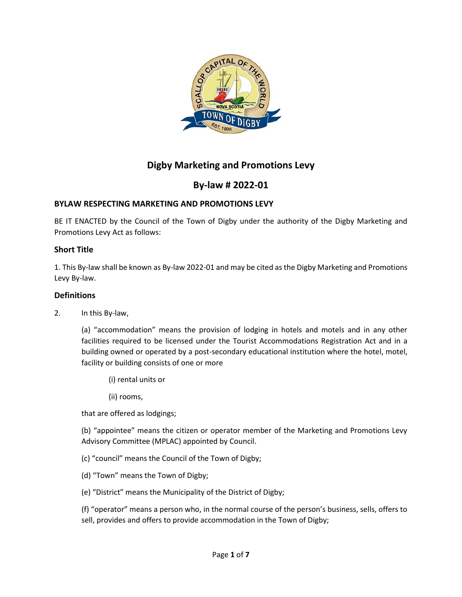

# **Digby Marketing and Promotions Levy**

# **By-law # 2022-01**

## **BYLAW RESPECTING MARKETING AND PROMOTIONS LEVY**

BE IT ENACTED by the Council of the Town of Digby under the authority of the Digby Marketing and Promotions Levy Act as follows:

#### **Short Title**

1. This By-law shall be known as By-law 2022-01 and may be cited as the Digby Marketing and Promotions Levy By-law.

#### **Definitions**

2. In this By-law,

(a) "accommodation" means the provision of lodging in hotels and motels and in any other facilities required to be licensed under the Tourist Accommodations Registration Act and in a building owned or operated by a post-secondary educational institution where the hotel, motel, facility or building consists of one or more

- (i) rental units or
- (ii) rooms,

that are offered as lodgings;

(b) "appointee" means the citizen or operator member of the Marketing and Promotions Levy Advisory Committee (MPLAC) appointed by Council.

- (c) "council" means the Council of the Town of Digby;
- (d) "Town" means the Town of Digby;
- (e) "District" means the Municipality of the District of Digby;

(f) "operator" means a person who, in the normal course of the person's business, sells, offers to sell, provides and offers to provide accommodation in the Town of Digby;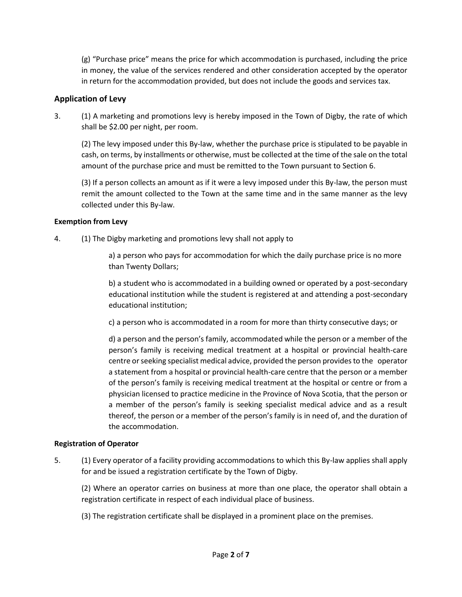(g) "Purchase price" means the price for which accommodation is purchased, including the price in money, the value of the services rendered and other consideration accepted by the operator in return for the accommodation provided, but does not include the goods and services tax.

## **Application of Levy**

3. (1) A marketing and promotions levy is hereby imposed in the Town of Digby, the rate of which shall be \$2.00 per night, per room.

(2) The levy imposed under this By-law, whether the purchase price is stipulated to be payable in cash, on terms, by installments or otherwise, must be collected at the time of the sale on the total amount of the purchase price and must be remitted to the Town pursuant to Section 6.

(3) If a person collects an amount as if it were a levy imposed under this By-law, the person must remit the amount collected to the Town at the same time and in the same manner as the levy collected under this By-law.

## **Exemption from Levy**

4. (1) The Digby marketing and promotions levy shall not apply to

a) a person who pays for accommodation for which the daily purchase price is no more than Twenty Dollars;

b) a student who is accommodated in a building owned or operated by a post-secondary educational institution while the student is registered at and attending a post-secondary educational institution;

c) a person who is accommodated in a room for more than thirty consecutive days; or

d) a person and the person's family, accommodated while the person or a member of the person's family is receiving medical treatment at a hospital or provincial health-care centre or seeking specialist medical advice, provided the person provides to the operator a statement from a hospital or provincial health-care centre that the person or a member of the person's family is receiving medical treatment at the hospital or centre or from a physician licensed to practice medicine in the Province of Nova Scotia, that the person or a member of the person's family is seeking specialist medical advice and as a result thereof, the person or a member of the person's family is in need of, and the duration of the accommodation.

## **Registration of Operator**

5. (1) Every operator of a facility providing accommodations to which this By-law applies shall apply for and be issued a registration certificate by the Town of Digby.

(2) Where an operator carries on business at more than one place, the operator shall obtain a registration certificate in respect of each individual place of business.

(3) The registration certificate shall be displayed in a prominent place on the premises.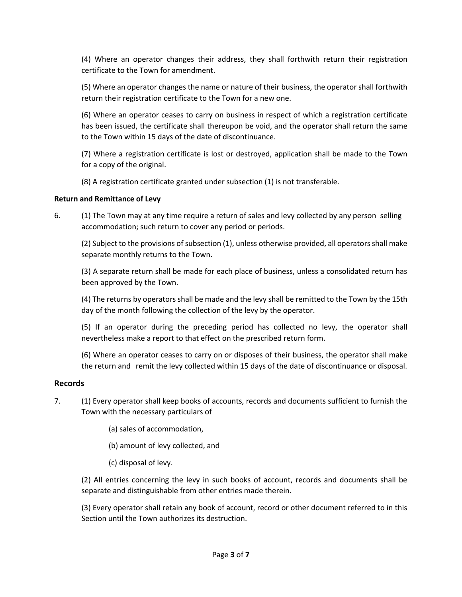(4) Where an operator changes their address, they shall forthwith return their registration certificate to the Town for amendment.

(5) Where an operator changes the name or nature of their business, the operator shall forthwith return their registration certificate to the Town for a new one.

(6) Where an operator ceases to carry on business in respect of which a registration certificate has been issued, the certificate shall thereupon be void, and the operator shall return the same to the Town within 15 days of the date of discontinuance.

(7) Where a registration certificate is lost or destroyed, application shall be made to the Town for a copy of the original.

(8) A registration certificate granted under subsection (1) is not transferable.

## **Return and Remittance of Levy**

6. (1) The Town may at any time require a return of sales and levy collected by any person selling accommodation; such return to cover any period or periods.

(2) Subject to the provisions of subsection (1), unless otherwise provided, all operators shall make separate monthly returns to the Town.

(3) A separate return shall be made for each place of business, unless a consolidated return has been approved by the Town.

(4) The returns by operators shall be made and the levy shall be remitted to the Town by the 15th day of the month following the collection of the levy by the operator.

(5) If an operator during the preceding period has collected no levy, the operator shall nevertheless make a report to that effect on the prescribed return form.

(6) Where an operator ceases to carry on or disposes of their business, the operator shall make the return and remit the levy collected within 15 days of the date of discontinuance or disposal.

## **Records**

- 7. (1) Every operator shall keep books of accounts, records and documents sufficient to furnish the Town with the necessary particulars of
	- (a) sales of accommodation,
	- (b) amount of levy collected, and
	- (c) disposal of levy.

(2) All entries concerning the levy in such books of account, records and documents shall be separate and distinguishable from other entries made therein.

(3) Every operator shall retain any book of account, record or other document referred to in this Section until the Town authorizes its destruction.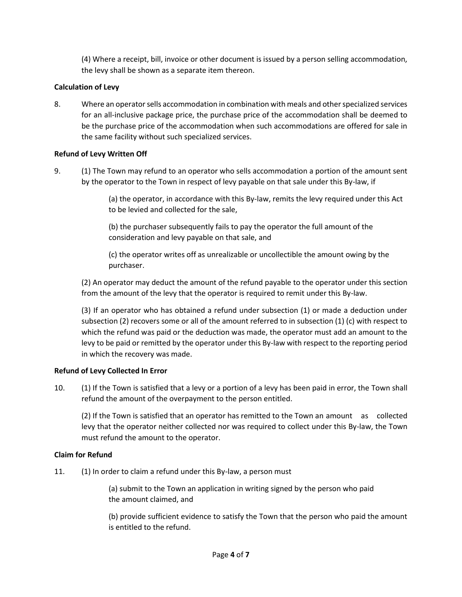(4) Where a receipt, bill, invoice or other document is issued by a person selling accommodation, the levy shall be shown as a separate item thereon.

## **Calculation of Levy**

8. Where an operator sells accommodation in combination with meals and other specialized services for an all-inclusive package price, the purchase price of the accommodation shall be deemed to be the purchase price of the accommodation when such accommodations are offered for sale in the same facility without such specialized services.

## **Refund of Levy Written Off**

9. (1) The Town may refund to an operator who sells accommodation a portion of the amount sent by the operator to the Town in respect of levy payable on that sale under this By-law, if

> (a) the operator, in accordance with this By-law, remits the levy required under this Act to be levied and collected for the sale,

(b) the purchaser subsequently fails to pay the operator the full amount of the consideration and levy payable on that sale, and

(c) the operator writes off as unrealizable or uncollectible the amount owing by the purchaser.

(2) An operator may deduct the amount of the refund payable to the operator under this section from the amount of the levy that the operator is required to remit under this By-law.

(3) If an operator who has obtained a refund under subsection (1) or made a deduction under subsection (2) recovers some or all of the amount referred to in subsection (1) (c) with respect to which the refund was paid or the deduction was made, the operator must add an amount to the levy to be paid or remitted by the operator under this By-law with respect to the reporting period in which the recovery was made.

## **Refund of Levy Collected In Error**

10. (1) If the Town is satisfied that a levy or a portion of a levy has been paid in error, the Town shall refund the amount of the overpayment to the person entitled.

(2) If the Town is satisfied that an operator has remitted to the Town an amount as collected levy that the operator neither collected nor was required to collect under this By-law, the Town must refund the amount to the operator.

## **Claim for Refund**

11. (1) In order to claim a refund under this By-law, a person must

(a) submit to the Town an application in writing signed by the person who paid the amount claimed, and

(b) provide sufficient evidence to satisfy the Town that the person who paid the amount is entitled to the refund.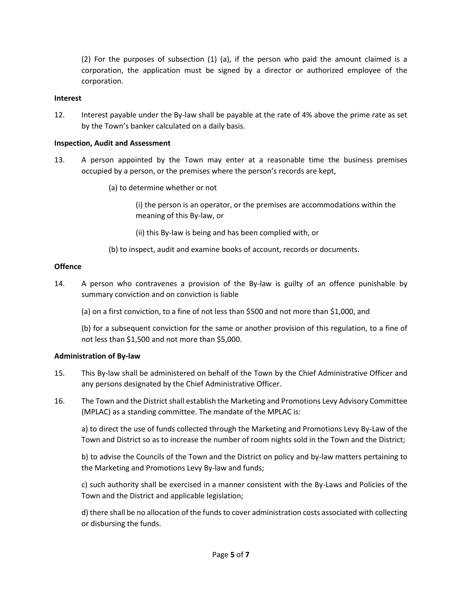(2) For the purposes of subsection (1) (a), if the person who paid the amount claimed is a corporation, the application must be signed by a director or authorized employee of the corporation.

#### **Interest**

12. Interest payable under the By-law shall be payable at the rate of 4% above the prime rate as set by the Town's banker calculated on a daily basis.

#### **Inspection, Audit and Assessment**

- 13. A person appointed by the Town may enter at a reasonable time the business premises occupied by a person, or the premises where the person's records are kept,
	- (a) to determine whether or not

(i) the person is an operator, or the premises are accommodations within the meaning of this By-law, or

(ii) this By-law is being and has been complied with, or

(b) to inspect, audit and examine books of account, records or documents.

#### **Offence**

- 14. A person who contravenes a provision of the By-law is guilty of an offence punishable by summary conviction and on conviction is liable
	- (a) on a first conviction, to a fine of not less than \$500 and not more than \$1,000, and

(b) for a subsequent conviction for the same or another provision of this regulation, to a fine of not less than \$1,500 and not more than \$5,000.

#### **Administration of By-law**

- 15. This By-law shall be administered on behalf of the Town by the Chief Administrative Officer and any persons designated by the Chief Administrative Officer.
- 16. The Town and the District shall establish the Marketing and Promotions Levy Advisory Committee (MPLAC) as a standing committee. The mandate of the MPLAC is:

a) to direct the use of funds collected through the Marketing and Promotions Levy By-Law of the Town and District so as to increase the number of room nights sold in the Town and the District;

b) to advise the Councils of the Town and the District on policy and by-law matters pertaining to the Marketing and Promotions Levy By-law and funds;

c) such authority shall be exercised in a manner consistent with the By-Laws and Policies of the Town and the District and applicable legislation;

d) there shall be no allocation of the funds to cover administration costs associated with collecting or disbursing the funds.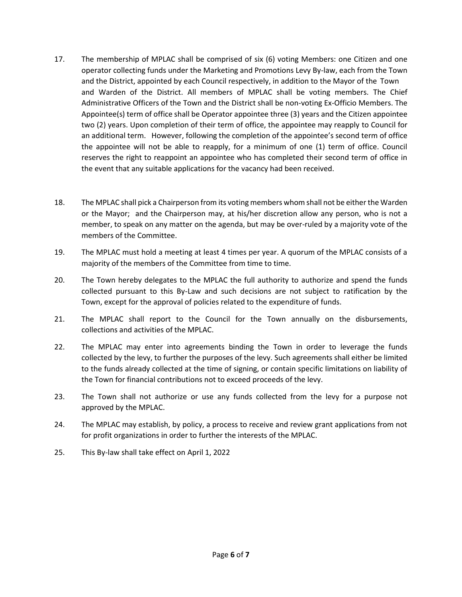- 17. The membership of MPLAC shall be comprised of six (6) voting Members: one Citizen and one operator collecting funds under the Marketing and Promotions Levy By-law, each from the Town and the District, appointed by each Council respectively, in addition to the Mayor of the Town and Warden of the District. All members of MPLAC shall be voting members. The Chief Administrative Officers of the Town and the District shall be non-voting Ex-Officio Members. The Appointee(s) term of office shall be Operator appointee three (3) years and the Citizen appointee two (2) years. Upon completion of their term of office, the appointee may reapply to Council for an additional term. However, following the completion of the appointee's second term of office the appointee will not be able to reapply, for a minimum of one (1) term of office. Council reserves the right to reappoint an appointee who has completed their second term of office in the event that any suitable applications for the vacancy had been received.
- 18. The MPLAC shall pick a Chairperson from its voting members whom shall not be either the Warden or the Mayor; and the Chairperson may, at his/her discretion allow any person, who is not a member, to speak on any matter on the agenda, but may be over-ruled by a majority vote of the members of the Committee.
- 19. The MPLAC must hold a meeting at least 4 times per year. A quorum of the MPLAC consists of a majority of the members of the Committee from time to time.
- 20. The Town hereby delegates to the MPLAC the full authority to authorize and spend the funds collected pursuant to this By-Law and such decisions are not subject to ratification by the Town, except for the approval of policies related to the expenditure of funds.
- 21. The MPLAC shall report to the Council for the Town annually on the disbursements, collections and activities of the MPLAC.
- 22. The MPLAC may enter into agreements binding the Town in order to leverage the funds collected by the levy, to further the purposes of the levy. Such agreements shall either be limited to the funds already collected at the time of signing, or contain specific limitations on liability of the Town for financial contributions not to exceed proceeds of the levy.
- 23. The Town shall not authorize or use any funds collected from the levy for a purpose not approved by the MPLAC.
- 24. The MPLAC may establish, by policy, a process to receive and review grant applications from not for profit organizations in order to further the interests of the MPLAC.
- 25. This By-law shall take effect on April 1, 2022